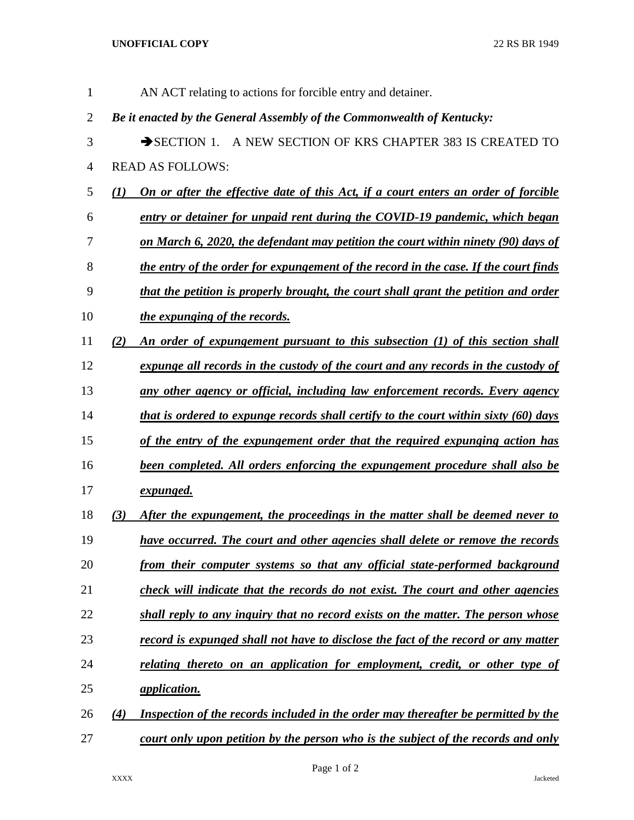## **UNOFFICIAL COPY** 22 RS BR 1949

| 1              |                   | AN ACT relating to actions for forcible entry and detainer.                                 |
|----------------|-------------------|---------------------------------------------------------------------------------------------|
| $\overline{2}$ |                   | Be it enacted by the General Assembly of the Commonwealth of Kentucky:                      |
| 3              |                   | A NEW SECTION OF KRS CHAPTER 383 IS CREATED TO<br>$\rightarrow$ SECTION 1.                  |
| 4              |                   | <b>READ AS FOLLOWS:</b>                                                                     |
| 5              | $\mathbf{U}$      | On or after the effective date of this Act, if a court enters an order of forcible          |
| 6              |                   | entry or detainer for unpaid rent during the COVID-19 pandemic, which began                 |
| 7              |                   | on March 6, 2020, the defendant may petition the court within ninety (90) days of           |
| 8              |                   | the entry of the order for expungement of the record in the case. If the court finds        |
| 9              |                   | that the petition is properly brought, the court shall grant the petition and order         |
| 10             |                   | the expunging of the records.                                                               |
| 11             | (2)               | An order of expungement pursuant to this subsection (1) of this section shall               |
| 12             |                   | expunge all records in the custody of the court and any records in the custody of           |
| 13             |                   | <u>any other agency or official, including law enforcement records. Every agency</u>        |
| 14             |                   | <u>that is ordered to expunge records shall certify to the court within sixty (60) days</u> |
| 15             |                   | of the entry of the expungement order that the required expunging action has                |
| 16             |                   | <b>been completed. All orders enforcing the expungement procedure shall also be</b>         |
| 17             |                   | <u>expunged.</u>                                                                            |
| 18             | (3)               | After the expungement, the proceedings in the matter shall be deemed never to               |
| 19             |                   | have occurred. The court and other agencies shall delete or remove the records              |
| 20             |                   | from their computer systems so that any official state-performed background                 |
| 21             |                   | check will indicate that the records do not exist. The court and other agencies             |
| 22             |                   | shall reply to any inquiry that no record exists on the matter. The person whose            |
| 23             |                   | <u>record is expunged shall not have to disclose the fact of the record or any matter</u>   |
| 24             |                   | relating thereto on an application for employment, credit, or other type of                 |
| 25             |                   | <i>application.</i>                                                                         |
| 26             | $\left( 4\right)$ | Inspection of the records included in the order may thereafter be permitted by the          |
| 27             |                   | <u>court only upon petition by the person who is the subject of the records and only</u>    |